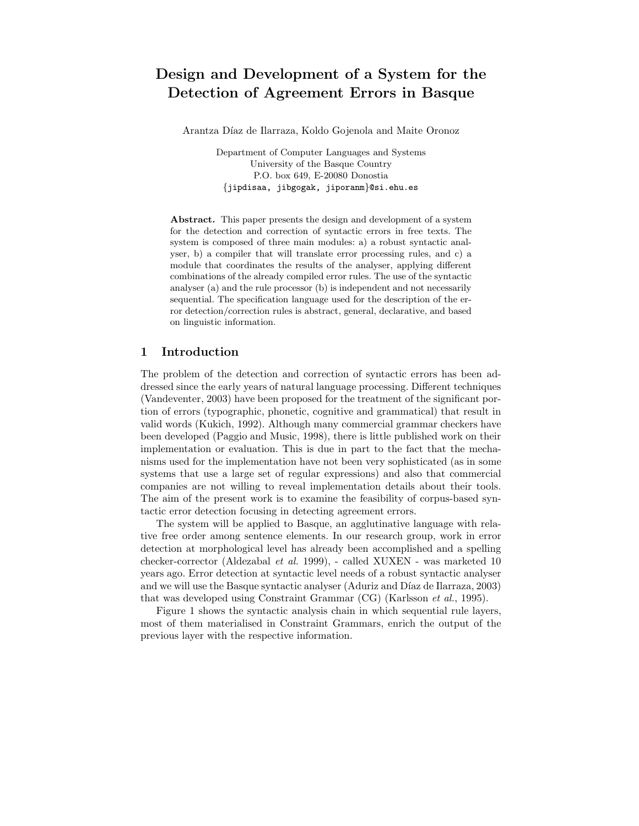# Design and Development of a System for the Detection of Agreement Errors in Basque

Arantza Díaz de Ilarraza, Koldo Gojenola and Maite Oronoz

Department of Computer Languages and Systems University of the Basque Country P.O. box 649, E-20080 Donostia {jipdisaa, jibgogak, jiporanm}@si.ehu.es

Abstract. This paper presents the design and development of a system for the detection and correction of syntactic errors in free texts. The system is composed of three main modules: a) a robust syntactic analyser, b) a compiler that will translate error processing rules, and c) a module that coordinates the results of the analyser, applying different combinations of the already compiled error rules. The use of the syntactic analyser (a) and the rule processor (b) is independent and not necessarily sequential. The specification language used for the description of the error detection/correction rules is abstract, general, declarative, and based on linguistic information.

## 1 Introduction

The problem of the detection and correction of syntactic errors has been addressed since the early years of natural language processing. Different techniques (Vandeventer, 2003) have been proposed for the treatment of the significant portion of errors (typographic, phonetic, cognitive and grammatical) that result in valid words (Kukich, 1992). Although many commercial grammar checkers have been developed (Paggio and Music, 1998), there is little published work on their implementation or evaluation. This is due in part to the fact that the mechanisms used for the implementation have not been very sophisticated (as in some systems that use a large set of regular expressions) and also that commercial companies are not willing to reveal implementation details about their tools. The aim of the present work is to examine the feasibility of corpus-based syntactic error detection focusing in detecting agreement errors.

The system will be applied to Basque, an agglutinative language with relative free order among sentence elements. In our research group, work in error detection at morphological level has already been accomplished and a spelling checker-corrector (Aldezabal et al. 1999), - called XUXEN - was marketed 10 years ago. Error detection at syntactic level needs of a robust syntactic analyser and we will use the Basque syntactic analyser (Aduriz and Díaz de Ilarraza, 2003) that was developed using Constraint Grammar (CG) (Karlsson et al., 1995).

Figure 1 shows the syntactic analysis chain in which sequential rule layers, most of them materialised in Constraint Grammars, enrich the output of the previous layer with the respective information.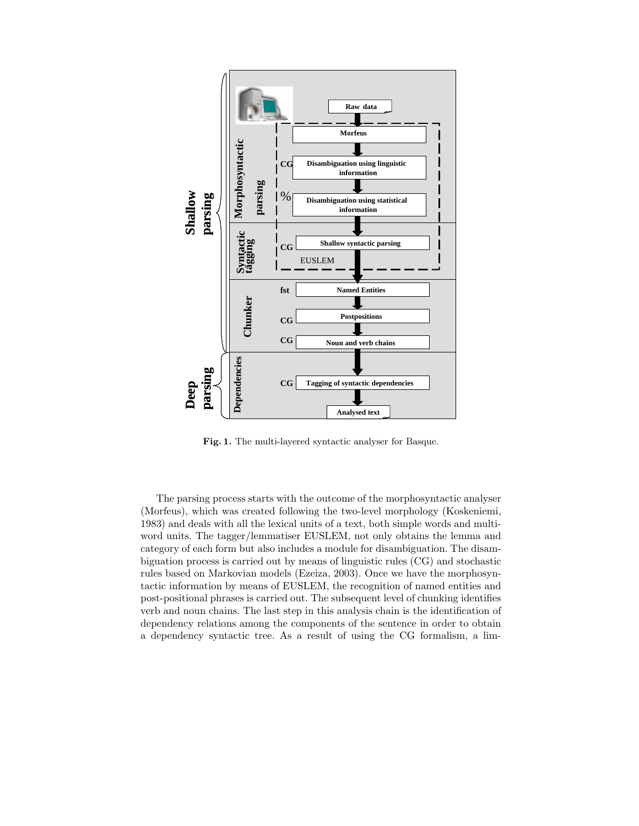

Fig. 1. The multi-layered syntactic analyser for Basque.

The parsing process starts with the outcome of the morphosyntactic analyser (Morfeus), which was created following the two-level morphology (Koskeniemi, 1983) and deals with all the lexical units of a text, both simple words and multiword units. The tagger/lemmatiser EUSLEM, not only obtains the lemma and category of each form but also includes a module for disambiguation. The disambiguation process is carried out by means of linguistic rules (CG) and stochastic rules based on Markovian models (Ezeiza, 2003). Once we have the morphosyntactic information by means of EUSLEM, the recognition of named entities and post-positional phrases is carried out. The subsequent level of chunking identifies verb and noun chains. The last step in this analysis chain is the identification of dependency relations among the components of the sentence in order to obtain a dependency syntactic tree. As a result of using the CG formalism, a lim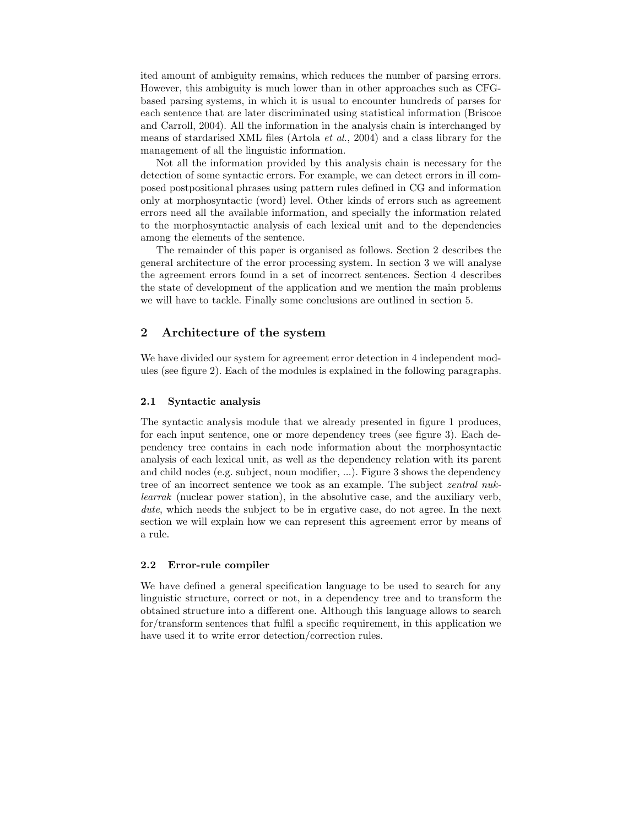ited amount of ambiguity remains, which reduces the number of parsing errors. However, this ambiguity is much lower than in other approaches such as CFGbased parsing systems, in which it is usual to encounter hundreds of parses for each sentence that are later discriminated using statistical information (Briscoe and Carroll, 2004). All the information in the analysis chain is interchanged by means of stardarised XML files (Artola et al., 2004) and a class library for the management of all the linguistic information.

Not all the information provided by this analysis chain is necessary for the detection of some syntactic errors. For example, we can detect errors in ill composed postpositional phrases using pattern rules defined in CG and information only at morphosyntactic (word) level. Other kinds of errors such as agreement errors need all the available information, and specially the information related to the morphosyntactic analysis of each lexical unit and to the dependencies among the elements of the sentence.

The remainder of this paper is organised as follows. Section 2 describes the general architecture of the error processing system. In section 3 we will analyse the agreement errors found in a set of incorrect sentences. Section 4 describes the state of development of the application and we mention the main problems we will have to tackle. Finally some conclusions are outlined in section 5.

# 2 Architecture of the system

We have divided our system for agreement error detection in 4 independent modules (see figure 2). Each of the modules is explained in the following paragraphs.

## 2.1 Syntactic analysis

The syntactic analysis module that we already presented in figure 1 produces, for each input sentence, one or more dependency trees (see figure 3). Each dependency tree contains in each node information about the morphosyntactic analysis of each lexical unit, as well as the dependency relation with its parent and child nodes (e.g. subject, noun modifier, ...). Figure 3 shows the dependency tree of an incorrect sentence we took as an example. The subject zentral nuklearrak (nuclear power station), in the absolutive case, and the auxiliary verb, dute, which needs the subject to be in ergative case, do not agree. In the next section we will explain how we can represent this agreement error by means of a rule.

## 2.2 Error-rule compiler

We have defined a general specification language to be used to search for any linguistic structure, correct or not, in a dependency tree and to transform the obtained structure into a different one. Although this language allows to search for/transform sentences that fulfil a specific requirement, in this application we have used it to write error detection/correction rules.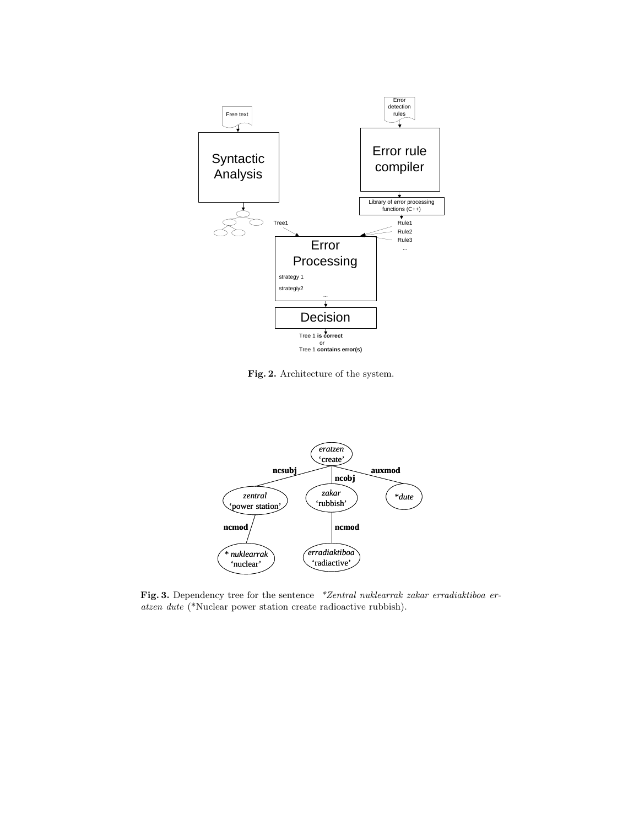

Fig. 2. Architecture of the system.



Fig. 3. Dependency tree for the sentence \*Zentral nuklearrak zakar erradiaktiboa eratzen dute (\*Nuclear power station create radioactive rubbish).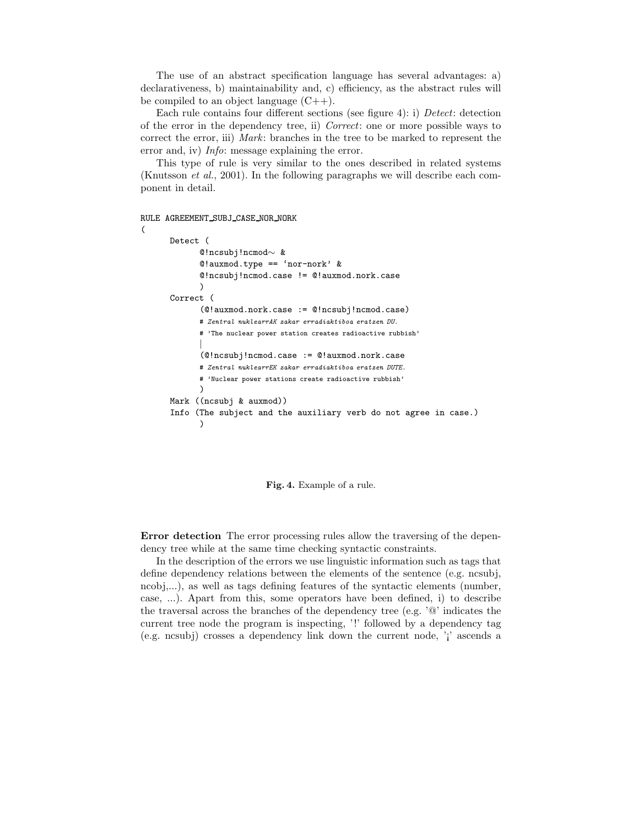The use of an abstract specification language has several advantages: a) declarativeness, b) maintainability and, c) efficiency, as the abstract rules will be compiled to an object language  $(C++)$ .

Each rule contains four different sections (see figure 4): i) Detect: detection of the error in the dependency tree, ii) Correct: one or more possible ways to correct the error, iii) Mark: branches in the tree to be marked to represent the error and, iv) Info: message explaining the error.

This type of rule is very similar to the ones described in related systems (Knutsson et al., 2001). In the following paragraphs we will describe each component in detail.

## RULE AGREEMENT SUBJ CASE NOR NORK

(

```
Detect (
       @!ncsubj!ncmod∼ &
       @!auxmod.type == 'nor-nork' &
       @!ncsubj!ncmod.case != @!auxmod.nork.case
       \lambdaCorrect (
       (@!auxmod.nork.case := @!ncsubj!ncmod.case)
      # Zentral nuklearrAK zakar erradiaktiboa eratzen DU.
       # 'The nuclear power station creates radioactive rubbish'
       (@!ncsubj!ncmod.case := @!auxmod.nork.case
      # Zentral nuklearrEK zakar erradiaktiboa eratzen DUTE.
       # 'Nuclear power stations create radioactive rubbish'
       \lambdaMark ((ncsubj & auxmod))
Info (The subject and the auxiliary verb do not agree in case.)
       )
```


Error detection The error processing rules allow the traversing of the dependency tree while at the same time checking syntactic constraints.

In the description of the errors we use linguistic information such as tags that define dependency relations between the elements of the sentence (e.g. ncsubj, ncobj,...), as well as tags defining features of the syntactic elements (number, case, ...). Apart from this, some operators have been defined, i) to describe the traversal across the branches of the dependency tree (e.g.  $\partial$ ) indicates the current tree node the program is inspecting, '!' followed by a dependency tag (e.g. ncsubj) crosses a dependency link down the current node, '¡' ascends a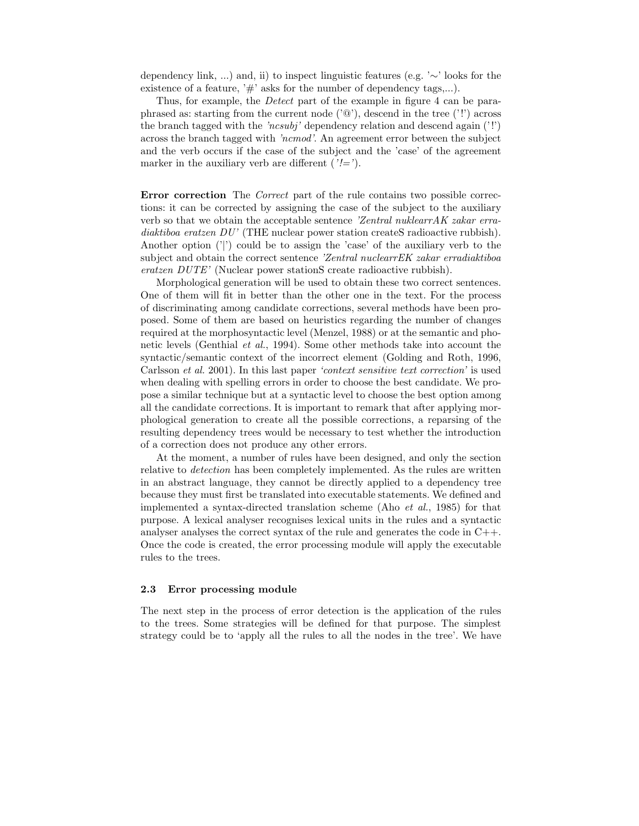dependency link, ...) and, ii) to inspect linguistic features (e.g. '∼' looks for the existence of a feature,  $\mathcal{H}$  asks for the number of dependency tags,...).

Thus, for example, the *Detect* part of the example in figure 4 can be paraphrased as: starting from the current node  $(2\omega)$ , descend in the tree  $('!)$  across the branch tagged with the 'ncsubj' dependency relation and descend again ('!') across the branch tagged with 'ncmod'. An agreement error between the subject and the verb occurs if the case of the subject and the 'case' of the agreement marker in the auxiliary verb are different  $('!=')$ .

Error correction The Correct part of the rule contains two possible corrections: it can be corrected by assigning the case of the subject to the auxiliary verb so that we obtain the acceptable sentence 'Zentral nuklearrAK zakar erradiaktiboa eratzen DU' (THE nuclear power station createS radioactive rubbish). Another option  $('')$  could be to assign the 'case' of the auxiliary verb to the subject and obtain the correct sentence 'Zentral nuclearrEK zakar erradiaktiboa eratzen DUTE' (Nuclear power stationS create radioactive rubbish).

Morphological generation will be used to obtain these two correct sentences. One of them will fit in better than the other one in the text. For the process of discriminating among candidate corrections, several methods have been proposed. Some of them are based on heuristics regarding the number of changes required at the morphosyntactic level (Menzel, 1988) or at the semantic and phonetic levels (Genthial et al., 1994). Some other methods take into account the syntactic/semantic context of the incorrect element (Golding and Roth, 1996, Carlsson et al. 2001). In this last paper 'context sensitive text correction' is used when dealing with spelling errors in order to choose the best candidate. We propose a similar technique but at a syntactic level to choose the best option among all the candidate corrections. It is important to remark that after applying morphological generation to create all the possible corrections, a reparsing of the resulting dependency trees would be necessary to test whether the introduction of a correction does not produce any other errors.

At the moment, a number of rules have been designed, and only the section relative to *detection* has been completely implemented. As the rules are written in an abstract language, they cannot be directly applied to a dependency tree because they must first be translated into executable statements. We defined and implemented a syntax-directed translation scheme (Aho et al., 1985) for that purpose. A lexical analyser recognises lexical units in the rules and a syntactic analyser analyses the correct syntax of the rule and generates the code in C++. Once the code is created, the error processing module will apply the executable rules to the trees.

## 2.3 Error processing module

The next step in the process of error detection is the application of the rules to the trees. Some strategies will be defined for that purpose. The simplest strategy could be to 'apply all the rules to all the nodes in the tree'. We have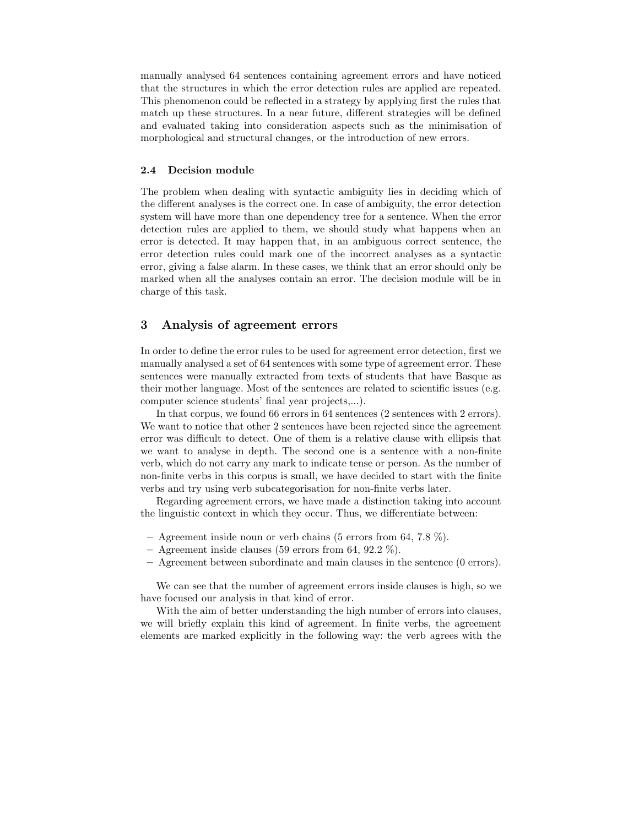manually analysed 64 sentences containing agreement errors and have noticed that the structures in which the error detection rules are applied are repeated. This phenomenon could be reflected in a strategy by applying first the rules that match up these structures. In a near future, different strategies will be defined and evaluated taking into consideration aspects such as the minimisation of morphological and structural changes, or the introduction of new errors.

#### 2.4 Decision module

The problem when dealing with syntactic ambiguity lies in deciding which of the different analyses is the correct one. In case of ambiguity, the error detection system will have more than one dependency tree for a sentence. When the error detection rules are applied to them, we should study what happens when an error is detected. It may happen that, in an ambiguous correct sentence, the error detection rules could mark one of the incorrect analyses as a syntactic error, giving a false alarm. In these cases, we think that an error should only be marked when all the analyses contain an error. The decision module will be in charge of this task.

## 3 Analysis of agreement errors

In order to define the error rules to be used for agreement error detection, first we manually analysed a set of 64 sentences with some type of agreement error. These sentences were manually extracted from texts of students that have Basque as their mother language. Most of the sentences are related to scientific issues (e.g. computer science students' final year projects,...).

In that corpus, we found 66 errors in 64 sentences (2 sentences with 2 errors). We want to notice that other 2 sentences have been rejected since the agreement error was difficult to detect. One of them is a relative clause with ellipsis that we want to analyse in depth. The second one is a sentence with a non-finite verb, which do not carry any mark to indicate tense or person. As the number of non-finite verbs in this corpus is small, we have decided to start with the finite verbs and try using verb subcategorisation for non-finite verbs later.

Regarding agreement errors, we have made a distinction taking into account the linguistic context in which they occur. Thus, we differentiate between:

- Agreement inside noun or verb chains  $(5 \text{ errors from } 64, 7.8 \%)$ .
- Agreement inside clauses (59 errors from 64, 92.2  $\%$ ).
- Agreement between subordinate and main clauses in the sentence (0 errors).

We can see that the number of agreement errors inside clauses is high, so we have focused our analysis in that kind of error.

With the aim of better understanding the high number of errors into clauses, we will briefly explain this kind of agreement. In finite verbs, the agreement elements are marked explicitly in the following way: the verb agrees with the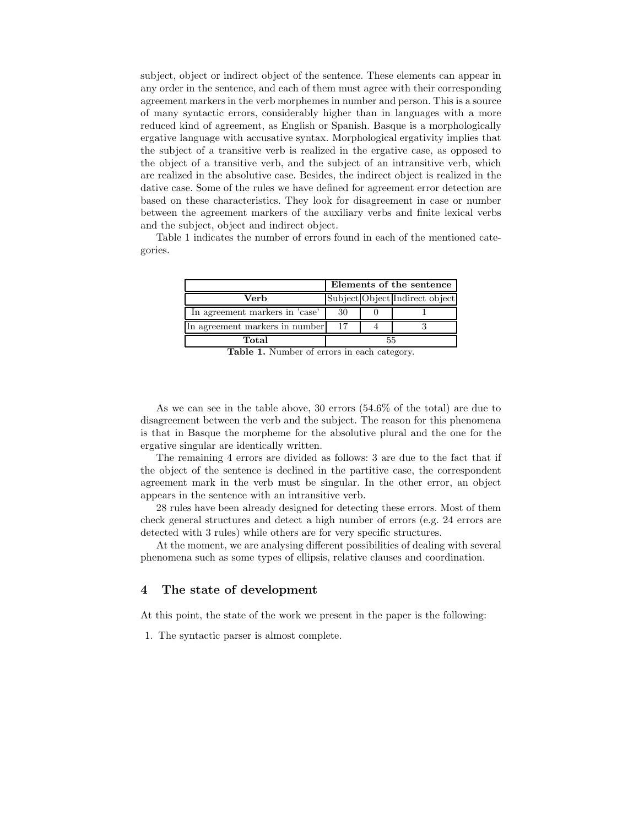subject, object or indirect object of the sentence. These elements can appear in any order in the sentence, and each of them must agree with their corresponding agreement markers in the verb morphemes in number and person. This is a source of many syntactic errors, considerably higher than in languages with a more reduced kind of agreement, as English or Spanish. Basque is a morphologically ergative language with accusative syntax. Morphological ergativity implies that the subject of a transitive verb is realized in the ergative case, as opposed to the object of a transitive verb, and the subject of an intransitive verb, which are realized in the absolutive case. Besides, the indirect object is realized in the dative case. Some of the rules we have defined for agreement error detection are based on these characteristics. They look for disagreement in case or number between the agreement markers of the auxiliary verbs and finite lexical verbs and the subject, object and indirect object.

Table 1 indicates the number of errors found in each of the mentioned categories.

|                                | Elements of the sentence |  |                                |
|--------------------------------|--------------------------|--|--------------------------------|
| Verb                           |                          |  | Subject Object Indirect object |
| In agreement markers in 'case' | 30                       |  |                                |
| In agreement markers in number |                          |  |                                |
| Total                          | 55                       |  |                                |

Table 1. Number of errors in each category.

As we can see in the table above, 30 errors (54.6% of the total) are due to disagreement between the verb and the subject. The reason for this phenomena is that in Basque the morpheme for the absolutive plural and the one for the ergative singular are identically written.

The remaining 4 errors are divided as follows: 3 are due to the fact that if the object of the sentence is declined in the partitive case, the correspondent agreement mark in the verb must be singular. In the other error, an object appears in the sentence with an intransitive verb.

28 rules have been already designed for detecting these errors. Most of them check general structures and detect a high number of errors (e.g. 24 errors are detected with 3 rules) while others are for very specific structures.

At the moment, we are analysing different possibilities of dealing with several phenomena such as some types of ellipsis, relative clauses and coordination.

# 4 The state of development

At this point, the state of the work we present in the paper is the following:

1. The syntactic parser is almost complete.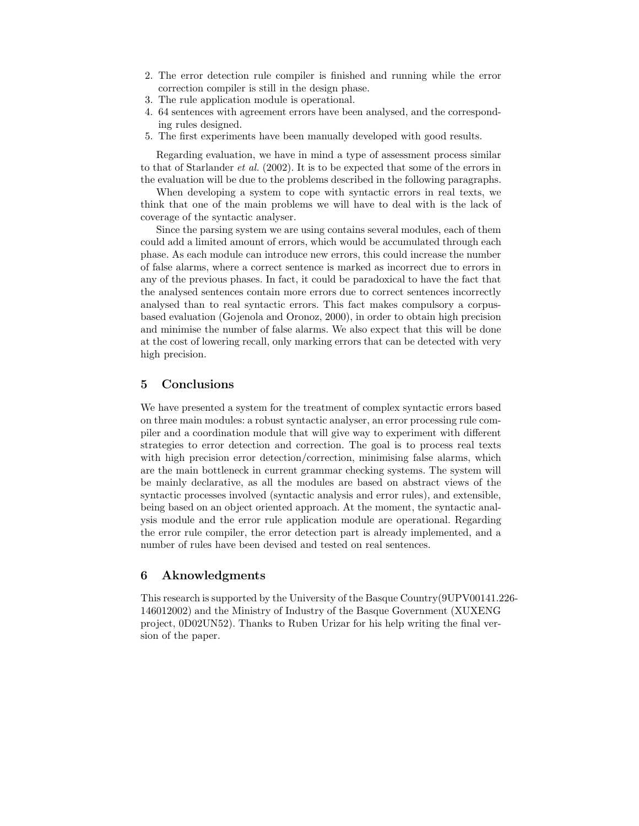- 2. The error detection rule compiler is finished and running while the error correction compiler is still in the design phase.
- 3. The rule application module is operational.
- 4. 64 sentences with agreement errors have been analysed, and the corresponding rules designed.
- 5. The first experiments have been manually developed with good results.

Regarding evaluation, we have in mind a type of assessment process similar to that of Starlander et al. (2002). It is to be expected that some of the errors in the evaluation will be due to the problems described in the following paragraphs.

When developing a system to cope with syntactic errors in real texts, we think that one of the main problems we will have to deal with is the lack of coverage of the syntactic analyser.

Since the parsing system we are using contains several modules, each of them could add a limited amount of errors, which would be accumulated through each phase. As each module can introduce new errors, this could increase the number of false alarms, where a correct sentence is marked as incorrect due to errors in any of the previous phases. In fact, it could be paradoxical to have the fact that the analysed sentences contain more errors due to correct sentences incorrectly analysed than to real syntactic errors. This fact makes compulsory a corpusbased evaluation (Gojenola and Oronoz, 2000), in order to obtain high precision and minimise the number of false alarms. We also expect that this will be done at the cost of lowering recall, only marking errors that can be detected with very high precision.

# 5 Conclusions

We have presented a system for the treatment of complex syntactic errors based on three main modules: a robust syntactic analyser, an error processing rule compiler and a coordination module that will give way to experiment with different strategies to error detection and correction. The goal is to process real texts with high precision error detection/correction, minimising false alarms, which are the main bottleneck in current grammar checking systems. The system will be mainly declarative, as all the modules are based on abstract views of the syntactic processes involved (syntactic analysis and error rules), and extensible, being based on an object oriented approach. At the moment, the syntactic analysis module and the error rule application module are operational. Regarding the error rule compiler, the error detection part is already implemented, and a number of rules have been devised and tested on real sentences.

# 6 Aknowledgments

This research is supported by the University of the Basque Country(9UPV00141.226- 146012002) and the Ministry of Industry of the Basque Government (XUXENG project, 0D02UN52). Thanks to Ruben Urizar for his help writing the final version of the paper.